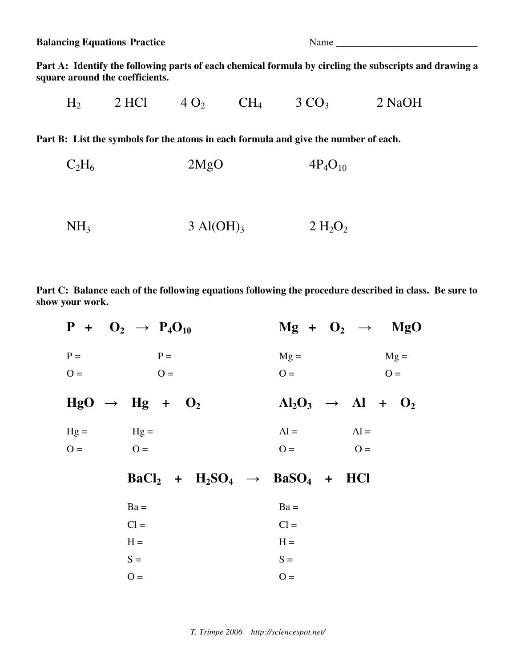**Balancing Equations Practice** Name Name Name

**Part A: Identify the following parts of each chemical formula by circling the subscripts and drawing a square around the coefficients.** 

 $H_2$  2 HCl 4 O<sub>2</sub> CH<sub>4</sub> 3 CO<sub>3</sub> 2 NaOH

**Part B: List the symbols for the atoms in each formula and give the number of each.** 

- $C_2H_6$  2MgO 4P<sub>4</sub>O<sub>10</sub>
- $NH_3$  3 Al(OH)<sub>3</sub> 2 H<sub>2</sub>O<sub>2</sub>

**Part C: Balance each of the following equations following the procedure described in class. Be sure to show your work.** 

|             | $P + O_2 \rightarrow P_4O_{10}$         | $Mg + O_2 \rightarrow MgO$                                                   |
|-------------|-----------------------------------------|------------------------------------------------------------------------------|
| $P =$       | $P =$                                   | $Mg =$<br>$Mg =$                                                             |
| $O =$       | $O =$<br>$HgO \rightarrow Hg + O_2$     | $O =$<br>$Q =$<br>$\text{Al}_2\text{O}_3 \rightarrow \text{Al} + \text{O}_2$ |
| $Hg = Hg =$ |                                         | $Al = A1$                                                                    |
| $O =$       | $O =$                                   | $Q =$ $Q =$                                                                  |
|             | $BaCl2 + H2SO4 \rightarrow BaSO4 + HCl$ |                                                                              |
|             | $Ba =$                                  | $Ba =$                                                                       |
|             | $Cl =$                                  | $Cl =$                                                                       |
|             | $H =$                                   | $H =$                                                                        |
|             | $S =$                                   | $S =$                                                                        |
|             | $O =$                                   | $O =$                                                                        |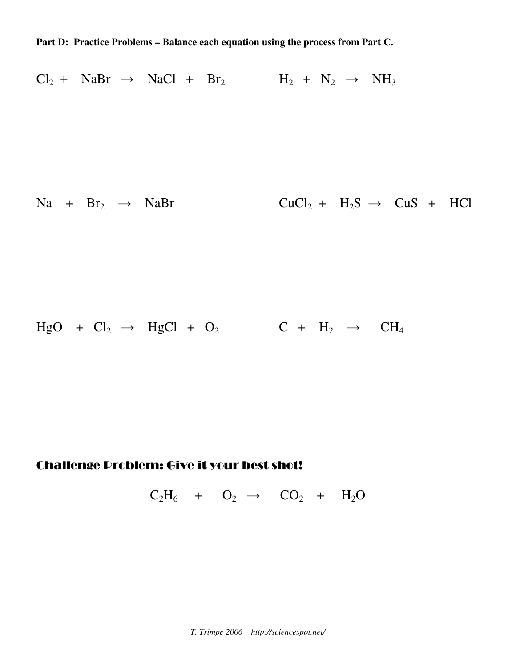**Part D: Practice Problems – Balance each equation using the process from Part C.** 

 $Cl_2 + NaBr \rightarrow NaCl + Br_2$   $H_2 + N_2 \rightarrow NH_3$  $Na + Br_2 \rightarrow NaBr$  CuCl<sub>2</sub> + H<sub>2</sub>S  $\rightarrow$  CuS + HCl

 $HgO + Cl_2 \rightarrow HgCl + O_2$  C +  $H_2 \rightarrow CH_4$ 

## Challenge Problem: Give it your best shot!

 $C_2H_6 + O_2 \rightarrow CO_2 + H_2O$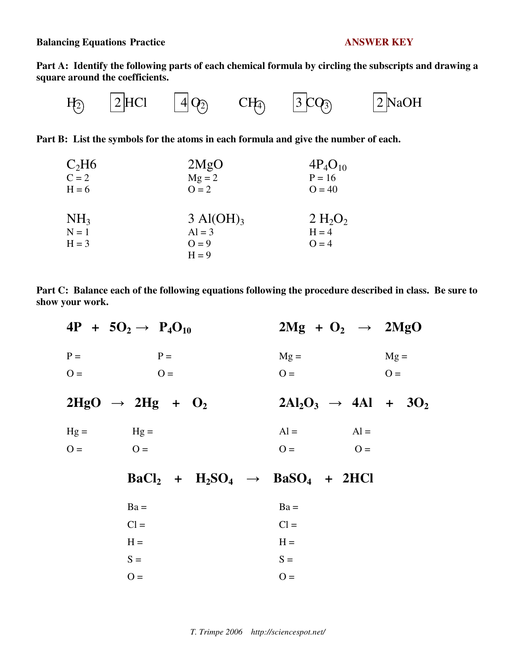**Balancing Equations Practice ANSWER KEY**

**Part A: Identify the following parts of each chemical formula by circling the subscripts and drawing a square around the coefficients.** 

$$
H_2 \qquad \boxed{2} \text{HCl} \qquad \boxed{4} \text{Q}_2 \qquad \text{CH}_3 \qquad \boxed{3} \text{CQ}_3 \qquad \boxed{2} \text{NaOH}
$$

**Part B: List the symbols for the atoms in each formula and give the number of each.** 

| C <sub>2</sub> H6 | 2MgO                        | $4P_4O_{10}$                    |
|-------------------|-----------------------------|---------------------------------|
| $C = 2$           | $Mg = 2$                    | $P = 16$                        |
| $H = 6$           | $Q = 2$                     | $Q = 40$                        |
|                   |                             |                                 |
| NH <sub>3</sub>   | $3 \text{ Al}(\text{OH})_3$ | 2 H <sub>2</sub> O <sub>2</sub> |
| $N = 1$           | $Al = 3$                    | $H = 4$                         |
| $H = 3$           | $Q = 9$                     | $Q = 4$                         |
|                   | $H = 9$                     |                                 |

| Part C: Balance each of the following equations following the procedure described in class. Be sure to |  |
|--------------------------------------------------------------------------------------------------------|--|
| show your work.                                                                                        |  |

|             | $4P + 5O_2 \rightarrow P_4O_{10}$        | $2Mg + O_2 \rightarrow 2MgO$      |        |
|-------------|------------------------------------------|-----------------------------------|--------|
| $P =$       | $P =$                                    | $Mg =$                            | $Mg =$ |
| $O =$       | $O =$                                    | $O =$                             | $Q =$  |
|             | $2HgO \rightarrow 2Hg + O_2$             | $2Al_2O_3 \rightarrow 4Al + 3O_2$ |        |
| $Hg = Hg =$ |                                          | $Al =$<br>$Al =$                  |        |
| $Q =$       | $O=$                                     | $Q =$<br>$O =$                    |        |
|             | $BaCl2 + H2SO4 \rightarrow BaSO4 + 2HCl$ |                                   |        |
|             | $Ba =$                                   | $Ba =$                            |        |
|             | $Cl =$                                   | $Cl =$                            |        |
|             | $H =$                                    | $H =$                             |        |
|             | $S =$                                    | $S =$                             |        |
|             | $O =$                                    | $O =$                             |        |